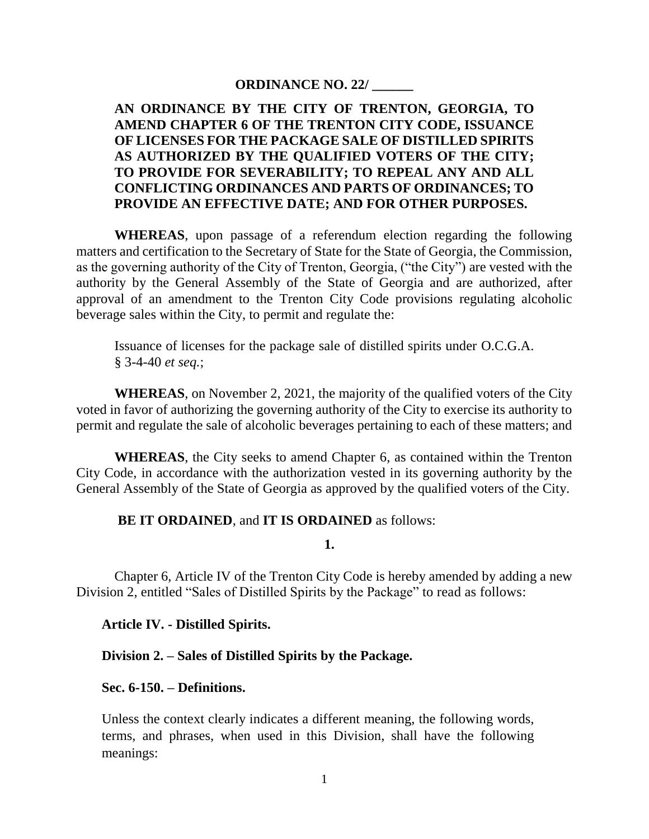# **ORDINANCE NO. 22/ \_\_\_\_\_\_**

# **AN ORDINANCE BY THE CITY OF TRENTON, GEORGIA, TO AMEND CHAPTER 6 OF THE TRENTON CITY CODE, ISSUANCE OF LICENSES FOR THE PACKAGE SALE OF DISTILLED SPIRITS AS AUTHORIZED BY THE QUALIFIED VOTERS OF THE CITY; TO PROVIDE FOR SEVERABILITY; TO REPEAL ANY AND ALL CONFLICTING ORDINANCES AND PARTS OF ORDINANCES; TO PROVIDE AN EFFECTIVE DATE; AND FOR OTHER PURPOSES.**

**WHEREAS**, upon passage of a referendum election regarding the following matters and certification to the Secretary of State for the State of Georgia, the Commission, as the governing authority of the City of Trenton, Georgia, ("the City") are vested with the authority by the General Assembly of the State of Georgia and are authorized, after approval of an amendment to the Trenton City Code provisions regulating alcoholic beverage sales within the City, to permit and regulate the:

Issuance of licenses for the package sale of distilled spirits under O.C.G.A. § 3-4-40 *et seq.*;

**WHEREAS**, on November 2, 2021, the majority of the qualified voters of the City voted in favor of authorizing the governing authority of the City to exercise its authority to permit and regulate the sale of alcoholic beverages pertaining to each of these matters; and

**WHEREAS**, the City seeks to amend Chapter 6, as contained within the Trenton City Code, in accordance with the authorization vested in its governing authority by the General Assembly of the State of Georgia as approved by the qualified voters of the City.

### **BE IT ORDAINED**, and **IT IS ORDAINED** as follows:

**1.**

Chapter 6, Article IV of the Trenton City Code is hereby amended by adding a new Division 2, entitled "Sales of Distilled Spirits by the Package" to read as follows:

### **Article IV. - Distilled Spirits.**

**Division 2. – Sales of Distilled Spirits by the Package.**

### **Sec. 6-150. – Definitions.**

Unless the context clearly indicates a different meaning, the following words, terms, and phrases, when used in this Division, shall have the following meanings: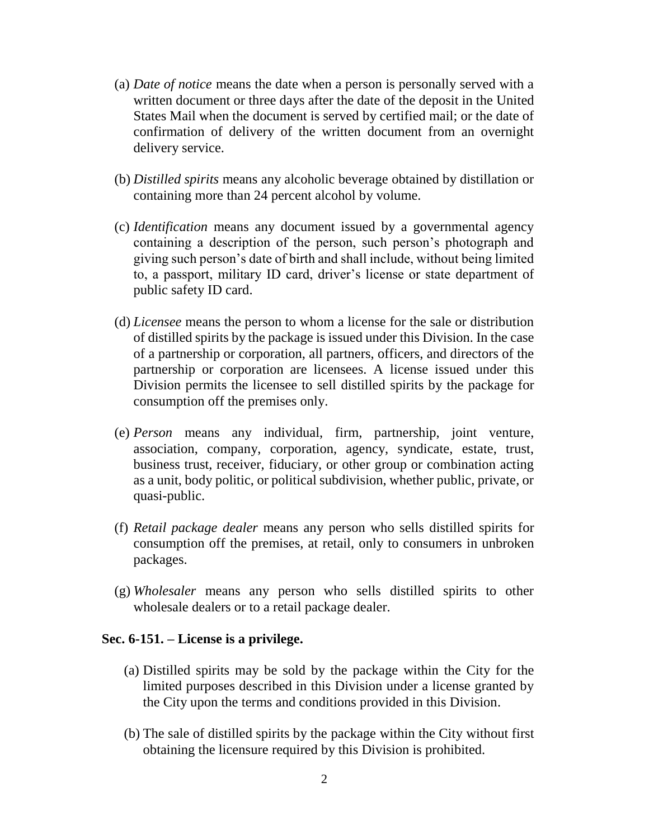- (a) *Date of notice* means the date when a person is personally served with a written document or three days after the date of the deposit in the United States Mail when the document is served by certified mail; or the date of confirmation of delivery of the written document from an overnight delivery service.
- (b) *Distilled spirits* means any alcoholic beverage obtained by distillation or containing more than 24 percent alcohol by volume.
- (c) *Identification* means any document issued by a governmental agency containing a description of the person, such person's photograph and giving such person's date of birth and shall include, without being limited to, a passport, military ID card, driver's license or state department of public safety ID card.
- (d) *Licensee* means the person to whom a license for the sale or distribution of distilled spirits by the package is issued under this Division. In the case of a partnership or corporation, all partners, officers, and directors of the partnership or corporation are licensees. A license issued under this Division permits the licensee to sell distilled spirits by the package for consumption off the premises only.
- (e) *Person* means any individual, firm, partnership, joint venture, association, company, corporation, agency, syndicate, estate, trust, business trust, receiver, fiduciary, or other group or combination acting as a unit, body politic, or political subdivision, whether public, private, or quasi-public.
- (f) *Retail package dealer* means any person who sells distilled spirits for consumption off the premises, at retail, only to consumers in unbroken packages.
- (g) *Wholesaler* means any person who sells distilled spirits to other wholesale dealers or to a retail package dealer.

### **Sec. 6-151. – License is a privilege.**

- (a) Distilled spirits may be sold by the package within the City for the limited purposes described in this Division under a license granted by the City upon the terms and conditions provided in this Division.
- (b) The sale of distilled spirits by the package within the City without first obtaining the licensure required by this Division is prohibited.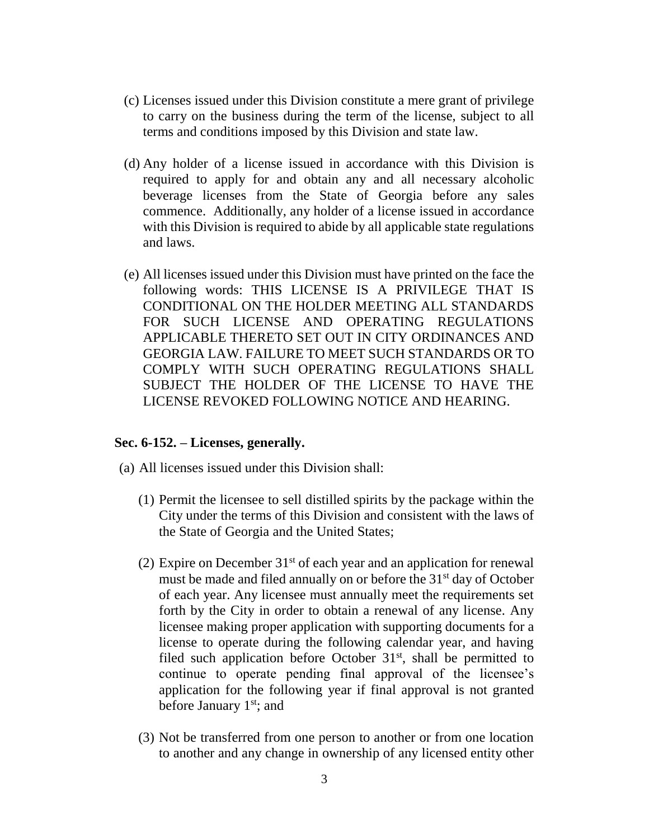- (c) Licenses issued under this Division constitute a mere grant of privilege to carry on the business during the term of the license, subject to all terms and conditions imposed by this Division and state law.
- (d) Any holder of a license issued in accordance with this Division is required to apply for and obtain any and all necessary alcoholic beverage licenses from the State of Georgia before any sales commence. Additionally, any holder of a license issued in accordance with this Division is required to abide by all applicable state regulations and laws.
- (e) All licenses issued under this Division must have printed on the face the following words: THIS LICENSE IS A PRIVILEGE THAT IS CONDITIONAL ON THE HOLDER MEETING ALL STANDARDS FOR SUCH LICENSE AND OPERATING REGULATIONS APPLICABLE THERETO SET OUT IN CITY ORDINANCES AND GEORGIA LAW. FAILURE TO MEET SUCH STANDARDS OR TO COMPLY WITH SUCH OPERATING REGULATIONS SHALL SUBJECT THE HOLDER OF THE LICENSE TO HAVE THE LICENSE REVOKED FOLLOWING NOTICE AND HEARING.

### **Sec. 6-152. – Licenses, generally.**

- (a) All licenses issued under this Division shall:
	- (1) Permit the licensee to sell distilled spirits by the package within the City under the terms of this Division and consistent with the laws of the State of Georgia and the United States;
	- (2) Expire on December  $31<sup>st</sup>$  of each year and an application for renewal must be made and filed annually on or before the 31<sup>st</sup> day of October of each year. Any licensee must annually meet the requirements set forth by the City in order to obtain a renewal of any license. Any licensee making proper application with supporting documents for a license to operate during the following calendar year, and having filed such application before October  $31<sup>st</sup>$ , shall be permitted to continue to operate pending final approval of the licensee's application for the following year if final approval is not granted before January  $1<sup>st</sup>$ ; and
	- (3) Not be transferred from one person to another or from one location to another and any change in ownership of any licensed entity other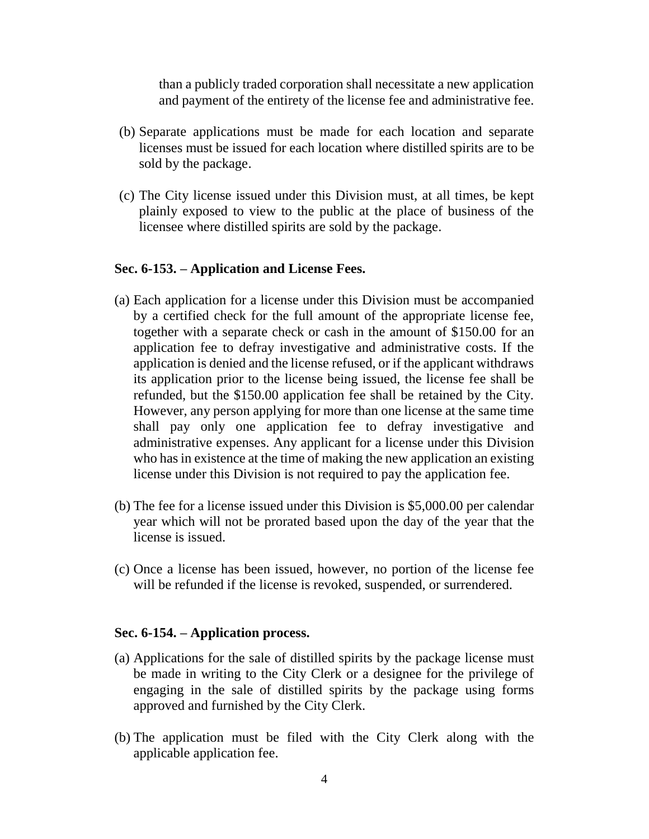than a publicly traded corporation shall necessitate a new application and payment of the entirety of the license fee and administrative fee.

- (b) Separate applications must be made for each location and separate licenses must be issued for each location where distilled spirits are to be sold by the package.
- (c) The City license issued under this Division must, at all times, be kept plainly exposed to view to the public at the place of business of the licensee where distilled spirits are sold by the package.

#### **Sec. 6-153. – Application and License Fees.**

- (a) Each application for a license under this Division must be accompanied by a certified check for the full amount of the appropriate license fee, together with a separate check or cash in the amount of \$150.00 for an application fee to defray investigative and administrative costs. If the application is denied and the license refused, or if the applicant withdraws its application prior to the license being issued, the license fee shall be refunded, but the \$150.00 application fee shall be retained by the City. However, any person applying for more than one license at the same time shall pay only one application fee to defray investigative and administrative expenses. Any applicant for a license under this Division who has in existence at the time of making the new application an existing license under this Division is not required to pay the application fee.
- (b) The fee for a license issued under this Division is \$5,000.00 per calendar year which will not be prorated based upon the day of the year that the license is issued.
- (c) Once a license has been issued, however, no portion of the license fee will be refunded if the license is revoked, suspended, or surrendered.

#### **Sec. 6-154. – Application process.**

- (a) Applications for the sale of distilled spirits by the package license must be made in writing to the City Clerk or a designee for the privilege of engaging in the sale of distilled spirits by the package using forms approved and furnished by the City Clerk.
- (b) The application must be filed with the City Clerk along with the applicable application fee.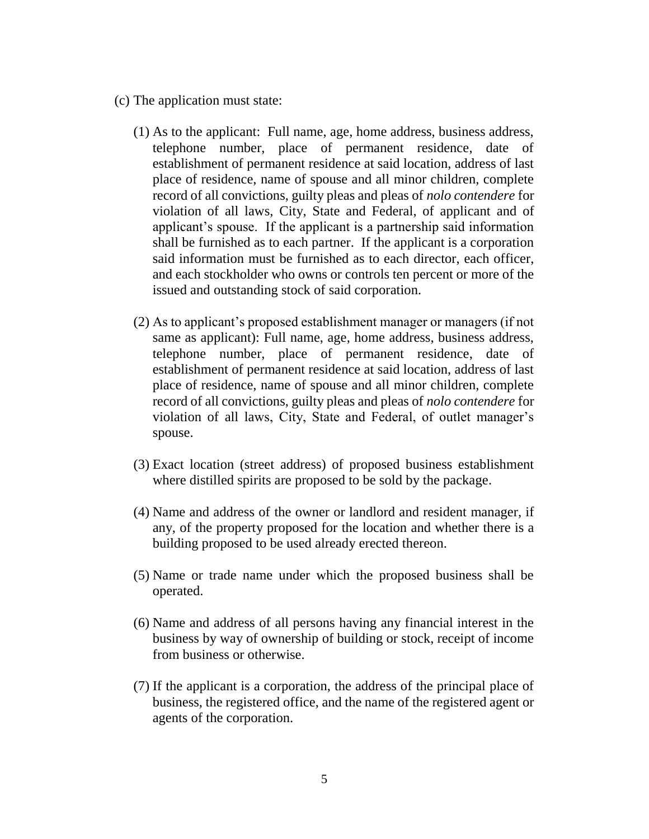- (c) The application must state:
	- (1) As to the applicant: Full name, age, home address, business address, telephone number, place of permanent residence, date of establishment of permanent residence at said location, address of last place of residence, name of spouse and all minor children, complete record of all convictions, guilty pleas and pleas of *nolo contendere* for violation of all laws, City, State and Federal, of applicant and of applicant's spouse. If the applicant is a partnership said information shall be furnished as to each partner. If the applicant is a corporation said information must be furnished as to each director, each officer, and each stockholder who owns or controls ten percent or more of the issued and outstanding stock of said corporation.
	- (2) As to applicant's proposed establishment manager or managers (if not same as applicant): Full name, age, home address, business address, telephone number, place of permanent residence, date of establishment of permanent residence at said location, address of last place of residence, name of spouse and all minor children, complete record of all convictions, guilty pleas and pleas of *nolo contendere* for violation of all laws, City, State and Federal, of outlet manager's spouse.
	- (3) Exact location (street address) of proposed business establishment where distilled spirits are proposed to be sold by the package.
	- (4) Name and address of the owner or landlord and resident manager, if any, of the property proposed for the location and whether there is a building proposed to be used already erected thereon.
	- (5) Name or trade name under which the proposed business shall be operated.
	- (6) Name and address of all persons having any financial interest in the business by way of ownership of building or stock, receipt of income from business or otherwise.
	- (7) If the applicant is a corporation, the address of the principal place of business, the registered office, and the name of the registered agent or agents of the corporation.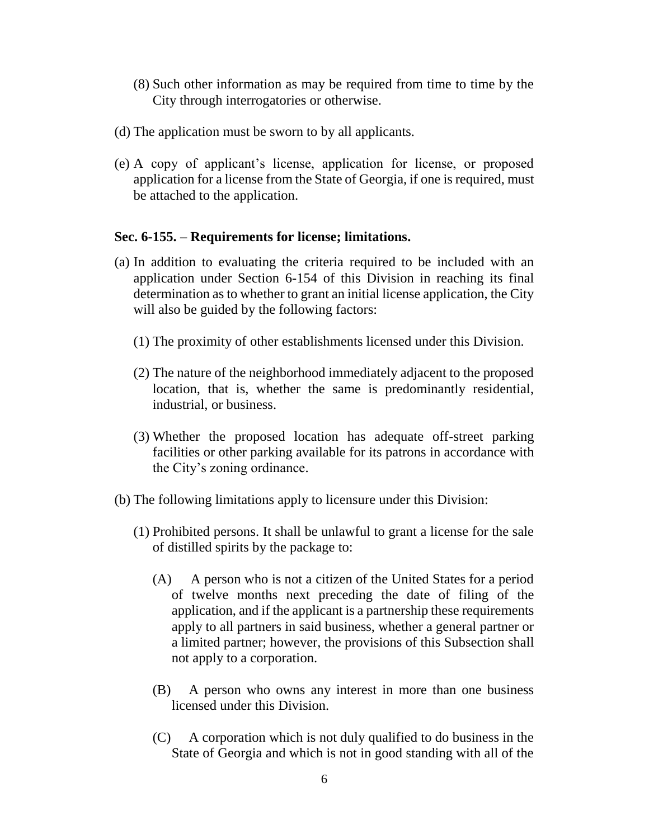- (8) Such other information as may be required from time to time by the City through interrogatories or otherwise.
- (d) The application must be sworn to by all applicants.
- (e) A copy of applicant's license, application for license, or proposed application for a license from the State of Georgia, if one is required, must be attached to the application.

# **Sec. 6-155. – Requirements for license; limitations.**

- (a) In addition to evaluating the criteria required to be included with an application under Section 6-154 of this Division in reaching its final determination as to whether to grant an initial license application, the City will also be guided by the following factors:
	- (1) The proximity of other establishments licensed under this Division.
	- (2) The nature of the neighborhood immediately adjacent to the proposed location, that is, whether the same is predominantly residential, industrial, or business.
	- (3) Whether the proposed location has adequate off-street parking facilities or other parking available for its patrons in accordance with the City's zoning ordinance.
- (b) The following limitations apply to licensure under this Division:
	- (1) Prohibited persons. It shall be unlawful to grant a license for the sale of distilled spirits by the package to:
		- (A) A person who is not a citizen of the United States for a period of twelve months next preceding the date of filing of the application, and if the applicant is a partnership these requirements apply to all partners in said business, whether a general partner or a limited partner; however, the provisions of this Subsection shall not apply to a corporation.
		- (B) A person who owns any interest in more than one business licensed under this Division.
		- (C) A corporation which is not duly qualified to do business in the State of Georgia and which is not in good standing with all of the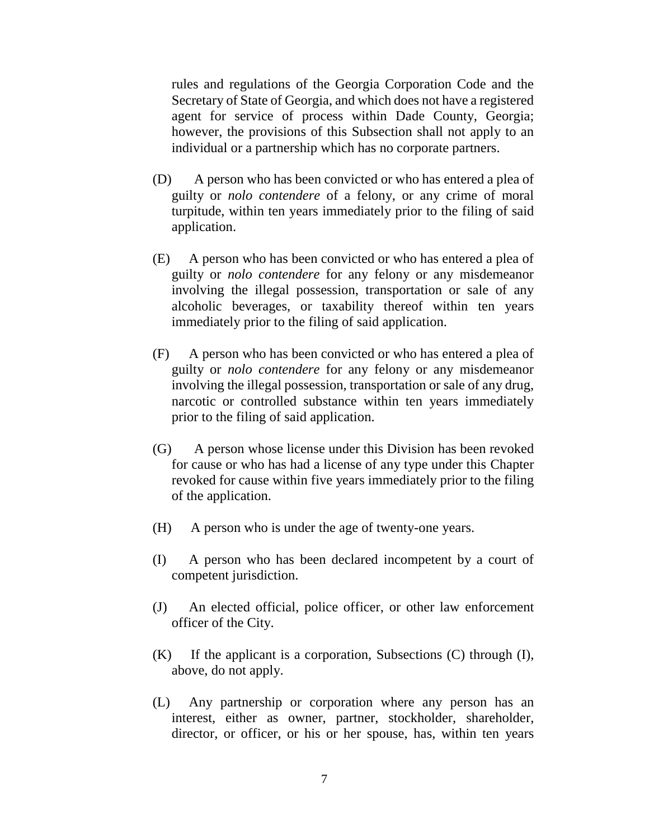rules and regulations of the Georgia Corporation Code and the Secretary of State of Georgia, and which does not have a registered agent for service of process within Dade County, Georgia; however, the provisions of this Subsection shall not apply to an individual or a partnership which has no corporate partners.

- (D) A person who has been convicted or who has entered a plea of guilty or *nolo contendere* of a felony, or any crime of moral turpitude, within ten years immediately prior to the filing of said application.
- (E) A person who has been convicted or who has entered a plea of guilty or *nolo contendere* for any felony or any misdemeanor involving the illegal possession, transportation or sale of any alcoholic beverages, or taxability thereof within ten years immediately prior to the filing of said application.
- (F) A person who has been convicted or who has entered a plea of guilty or *nolo contendere* for any felony or any misdemeanor involving the illegal possession, transportation or sale of any drug, narcotic or controlled substance within ten years immediately prior to the filing of said application.
- (G) A person whose license under this Division has been revoked for cause or who has had a license of any type under this Chapter revoked for cause within five years immediately prior to the filing of the application.
- (H) A person who is under the age of twenty-one years.
- (I) A person who has been declared incompetent by a court of competent jurisdiction.
- (J) An elected official, police officer, or other law enforcement officer of the City.
- (K) If the applicant is a corporation, Subsections (C) through (I), above, do not apply.
- (L) Any partnership or corporation where any person has an interest, either as owner, partner, stockholder, shareholder, director, or officer, or his or her spouse, has, within ten years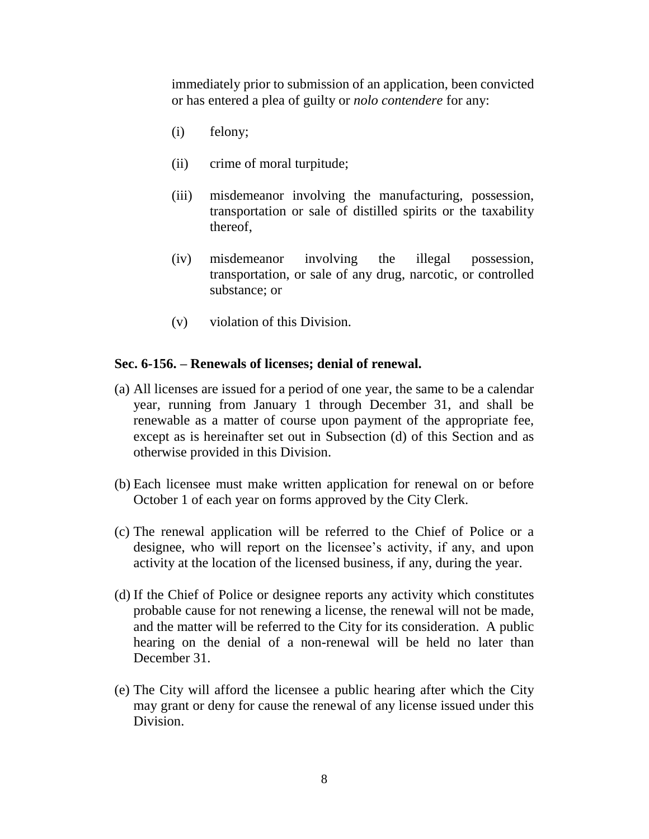immediately prior to submission of an application, been convicted or has entered a plea of guilty or *nolo contendere* for any:

- (i) felony;
- (ii) crime of moral turpitude;
- (iii) misdemeanor involving the manufacturing, possession, transportation or sale of distilled spirits or the taxability thereof,
- (iv) misdemeanor involving the illegal possession, transportation, or sale of any drug, narcotic, or controlled substance; or
- (v) violation of this Division.

# **Sec. 6-156. – Renewals of licenses; denial of renewal.**

- (a) All licenses are issued for a period of one year, the same to be a calendar year, running from January 1 through December 31, and shall be renewable as a matter of course upon payment of the appropriate fee, except as is hereinafter set out in Subsection (d) of this Section and as otherwise provided in this Division.
- (b) Each licensee must make written application for renewal on or before October 1 of each year on forms approved by the City Clerk.
- (c) The renewal application will be referred to the Chief of Police or a designee, who will report on the licensee's activity, if any, and upon activity at the location of the licensed business, if any, during the year.
- (d) If the Chief of Police or designee reports any activity which constitutes probable cause for not renewing a license, the renewal will not be made, and the matter will be referred to the City for its consideration. A public hearing on the denial of a non-renewal will be held no later than December 31.
- (e) The City will afford the licensee a public hearing after which the City may grant or deny for cause the renewal of any license issued under this Division.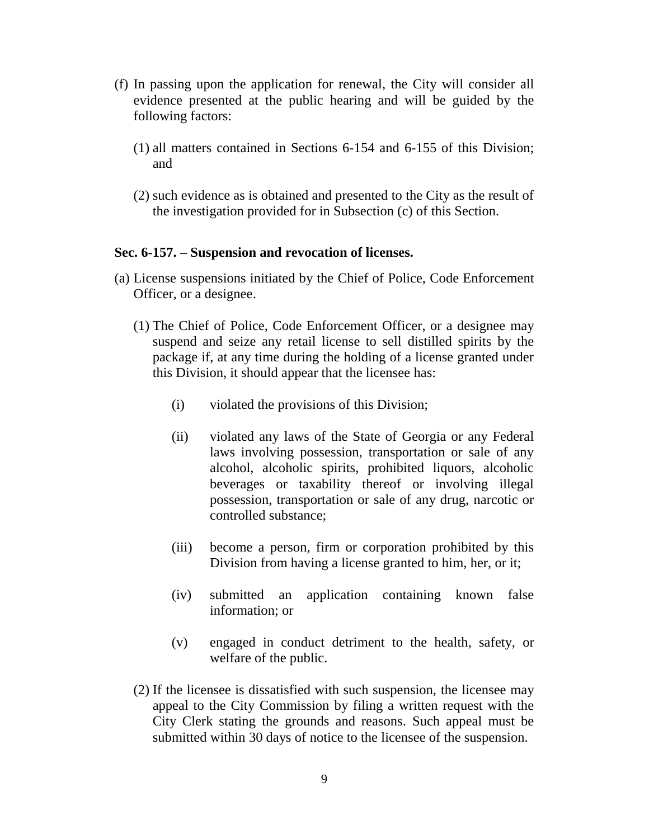- (f) In passing upon the application for renewal, the City will consider all evidence presented at the public hearing and will be guided by the following factors:
	- (1) all matters contained in Sections 6-154 and 6-155 of this Division; and
	- (2) such evidence as is obtained and presented to the City as the result of the investigation provided for in Subsection (c) of this Section.

# **Sec. 6-157. – Suspension and revocation of licenses.**

- (a) License suspensions initiated by the Chief of Police, Code Enforcement Officer, or a designee.
	- (1) The Chief of Police, Code Enforcement Officer, or a designee may suspend and seize any retail license to sell distilled spirits by the package if, at any time during the holding of a license granted under this Division, it should appear that the licensee has:
		- (i) violated the provisions of this Division;
		- (ii) violated any laws of the State of Georgia or any Federal laws involving possession, transportation or sale of any alcohol, alcoholic spirits, prohibited liquors, alcoholic beverages or taxability thereof or involving illegal possession, transportation or sale of any drug, narcotic or controlled substance;
		- (iii) become a person, firm or corporation prohibited by this Division from having a license granted to him, her, or it;
		- (iv) submitted an application containing known false information; or
		- (v) engaged in conduct detriment to the health, safety, or welfare of the public.
	- (2) If the licensee is dissatisfied with such suspension, the licensee may appeal to the City Commission by filing a written request with the City Clerk stating the grounds and reasons. Such appeal must be submitted within 30 days of notice to the licensee of the suspension.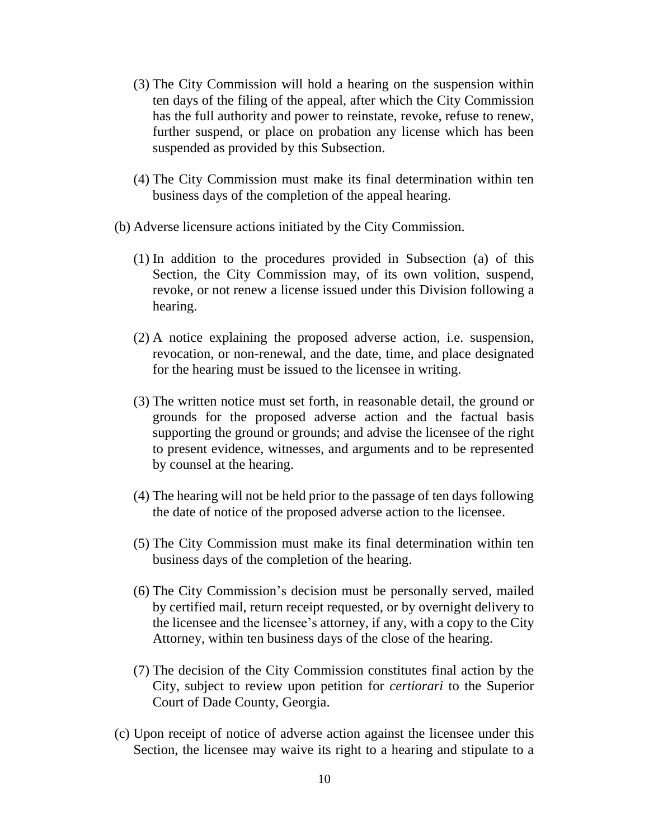- (3) The City Commission will hold a hearing on the suspension within ten days of the filing of the appeal, after which the City Commission has the full authority and power to reinstate, revoke, refuse to renew, further suspend, or place on probation any license which has been suspended as provided by this Subsection.
- (4) The City Commission must make its final determination within ten business days of the completion of the appeal hearing.
- (b) Adverse licensure actions initiated by the City Commission.
	- (1) In addition to the procedures provided in Subsection (a) of this Section, the City Commission may, of its own volition, suspend, revoke, or not renew a license issued under this Division following a hearing.
	- (2) A notice explaining the proposed adverse action, i.e. suspension, revocation, or non-renewal, and the date, time, and place designated for the hearing must be issued to the licensee in writing.
	- (3) The written notice must set forth, in reasonable detail, the ground or grounds for the proposed adverse action and the factual basis supporting the ground or grounds; and advise the licensee of the right to present evidence, witnesses, and arguments and to be represented by counsel at the hearing.
	- (4) The hearing will not be held prior to the passage of ten days following the date of notice of the proposed adverse action to the licensee.
	- (5) The City Commission must make its final determination within ten business days of the completion of the hearing.
	- (6) The City Commission's decision must be personally served, mailed by certified mail, return receipt requested, or by overnight delivery to the licensee and the licensee's attorney, if any, with a copy to the City Attorney, within ten business days of the close of the hearing.
	- (7) The decision of the City Commission constitutes final action by the City, subject to review upon petition for *certiorari* to the Superior Court of Dade County, Georgia.
- (c) Upon receipt of notice of adverse action against the licensee under this Section, the licensee may waive its right to a hearing and stipulate to a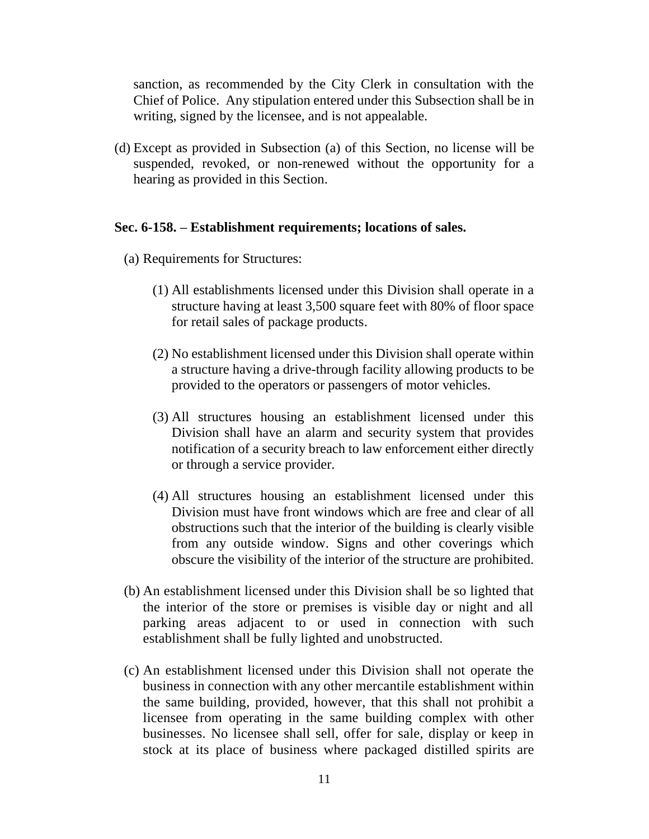sanction, as recommended by the City Clerk in consultation with the Chief of Police. Any stipulation entered under this Subsection shall be in writing, signed by the licensee, and is not appealable.

(d) Except as provided in Subsection (a) of this Section, no license will be suspended, revoked, or non-renewed without the opportunity for a hearing as provided in this Section.

# **Sec. 6-158. – Establishment requirements; locations of sales.**

- (a) Requirements for Structures:
	- (1) All establishments licensed under this Division shall operate in a structure having at least 3,500 square feet with 80% of floor space for retail sales of package products.
	- (2) No establishment licensed under this Division shall operate within a structure having a drive-through facility allowing products to be provided to the operators or passengers of motor vehicles.
	- (3) All structures housing an establishment licensed under this Division shall have an alarm and security system that provides notification of a security breach to law enforcement either directly or through a service provider.
	- (4) All structures housing an establishment licensed under this Division must have front windows which are free and clear of all obstructions such that the interior of the building is clearly visible from any outside window. Signs and other coverings which obscure the visibility of the interior of the structure are prohibited.
- (b) An establishment licensed under this Division shall be so lighted that the interior of the store or premises is visible day or night and all parking areas adjacent to or used in connection with such establishment shall be fully lighted and unobstructed.
- (c) An establishment licensed under this Division shall not operate the business in connection with any other mercantile establishment within the same building, provided, however, that this shall not prohibit a licensee from operating in the same building complex with other businesses. No licensee shall sell, offer for sale, display or keep in stock at its place of business where packaged distilled spirits are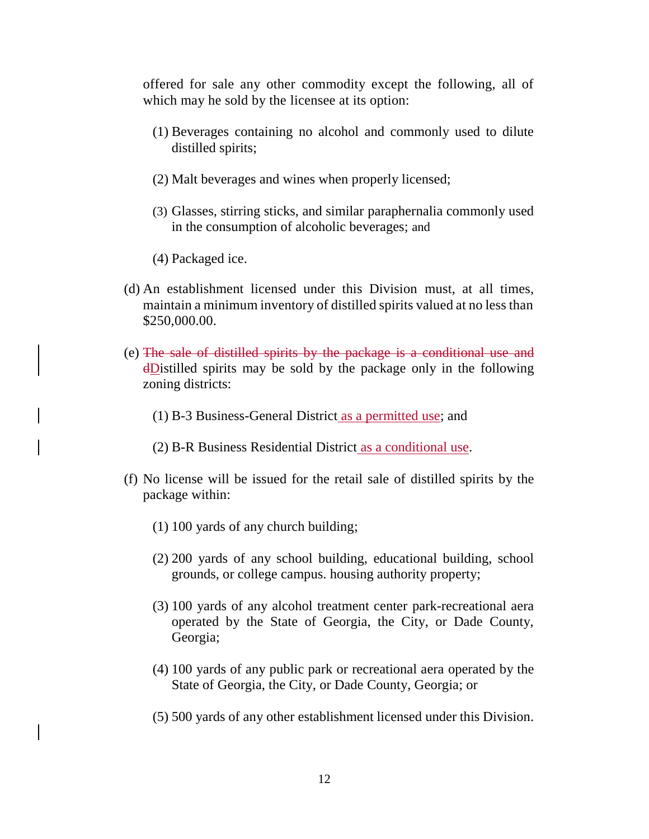offered for sale any other commodity except the following, all of which may he sold by the licensee at its option:

- (1) Beverages containing no alcohol and commonly used to dilute distilled spirits;
- (2) Malt beverages and wines when properly licensed;
- (3) Glasses, stirring sticks, and similar paraphernalia commonly used in the consumption of alcoholic beverages; and
- (4) Packaged ice.
- (d) An establishment licensed under this Division must, at all times, maintain a minimum inventory of distilled spirits valued at no less than \$250,000.00.
- (e) The sale of distilled spirits by the package is a conditional use and dDistilled spirits may be sold by the package only in the following zoning districts:
	- (1) B-3 Business-General District as a permitted use; and
	- (2) B-R Business Residential District as a conditional use.
- (f) No license will be issued for the retail sale of distilled spirits by the package within:
	- (1) 100 yards of any church building;
	- (2) 200 yards of any school building, educational building, school grounds, or college campus. housing authority property;
	- (3) 100 yards of any alcohol treatment center park-recreational aera operated by the State of Georgia, the City, or Dade County, Georgia;
	- (4) 100 yards of any public park or recreational aera operated by the State of Georgia, the City, or Dade County, Georgia; or
	- (5) 500 yards of any other establishment licensed under this Division.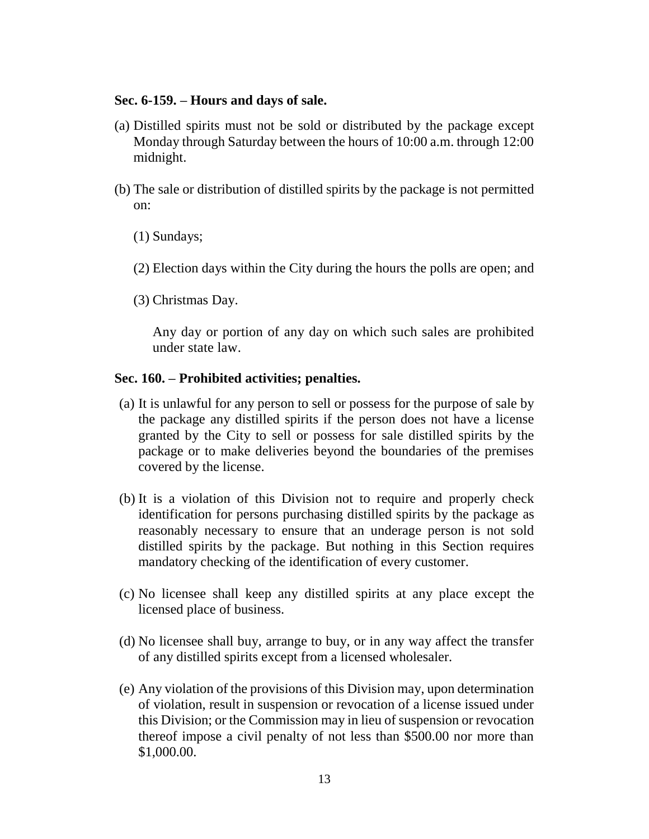# **Sec. 6-159. – Hours and days of sale.**

- (a) Distilled spirits must not be sold or distributed by the package except Monday through Saturday between the hours of 10:00 a.m. through 12:00 midnight.
- (b) The sale or distribution of distilled spirits by the package is not permitted on:
	- (1) Sundays;
	- (2) Election days within the City during the hours the polls are open; and
	- (3) Christmas Day.

Any day or portion of any day on which such sales are prohibited under state law.

# **Sec. 160. – Prohibited activities; penalties.**

- (a) It is unlawful for any person to sell or possess for the purpose of sale by the package any distilled spirits if the person does not have a license granted by the City to sell or possess for sale distilled spirits by the package or to make deliveries beyond the boundaries of the premises covered by the license.
- (b) It is a violation of this Division not to require and properly check identification for persons purchasing distilled spirits by the package as reasonably necessary to ensure that an underage person is not sold distilled spirits by the package. But nothing in this Section requires mandatory checking of the identification of every customer.
- (c) No licensee shall keep any distilled spirits at any place except the licensed place of business.
- (d) No licensee shall buy, arrange to buy, or in any way affect the transfer of any distilled spirits except from a licensed wholesaler.
- (e) Any violation of the provisions of this Division may, upon determination of violation, result in suspension or revocation of a license issued under this Division; or the Commission may in lieu of suspension or revocation thereof impose a civil penalty of not less than \$500.00 nor more than \$1,000.00.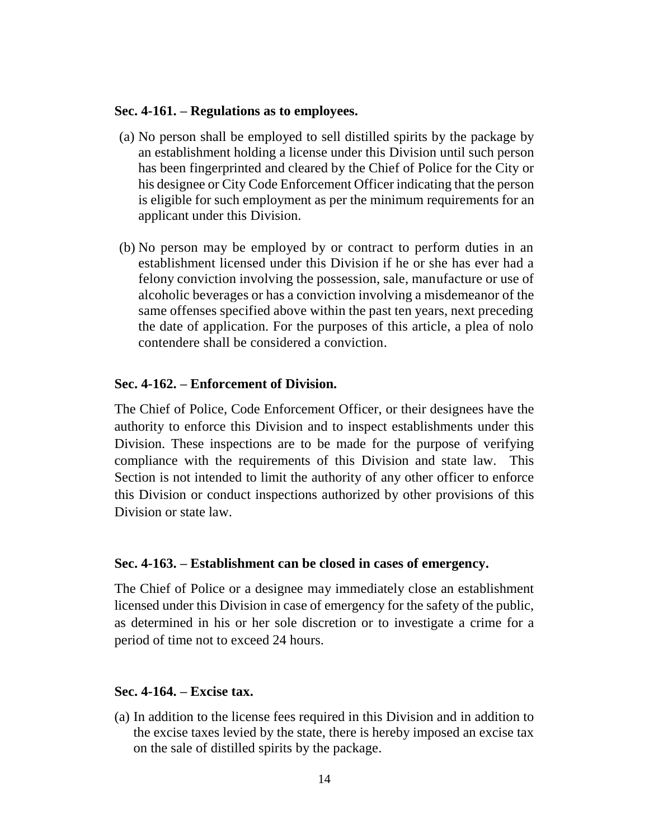### **Sec. 4-161. – Regulations as to employees.**

- (a) No person shall be employed to sell distilled spirits by the package by an establishment holding a license under this Division until such person has been fingerprinted and cleared by the Chief of Police for the City or his designee or City Code Enforcement Officer indicating that the person is eligible for such employment as per the minimum requirements for an applicant under this Division.
- (b) No person may be employed by or contract to perform duties in an establishment licensed under this Division if he or she has ever had a felony conviction involving the possession, sale, manufacture or use of alcoholic beverages or has a conviction involving a misdemeanor of the same offenses specified above within the past ten years, next preceding the date of application. For the purposes of this article, a plea of nolo contendere shall be considered a conviction.

# **Sec. 4-162. – Enforcement of Division.**

The Chief of Police, Code Enforcement Officer, or their designees have the authority to enforce this Division and to inspect establishments under this Division. These inspections are to be made for the purpose of verifying compliance with the requirements of this Division and state law. This Section is not intended to limit the authority of any other officer to enforce this Division or conduct inspections authorized by other provisions of this Division or state law.

### **Sec. 4-163. – Establishment can be closed in cases of emergency.**

The Chief of Police or a designee may immediately close an establishment licensed under this Division in case of emergency for the safety of the public, as determined in his or her sole discretion or to investigate a crime for a period of time not to exceed 24 hours.

### **Sec. 4-164. – Excise tax.**

(a) In addition to the license fees required in this Division and in addition to the excise taxes levied by the state, there is hereby imposed an excise tax on the sale of distilled spirits by the package.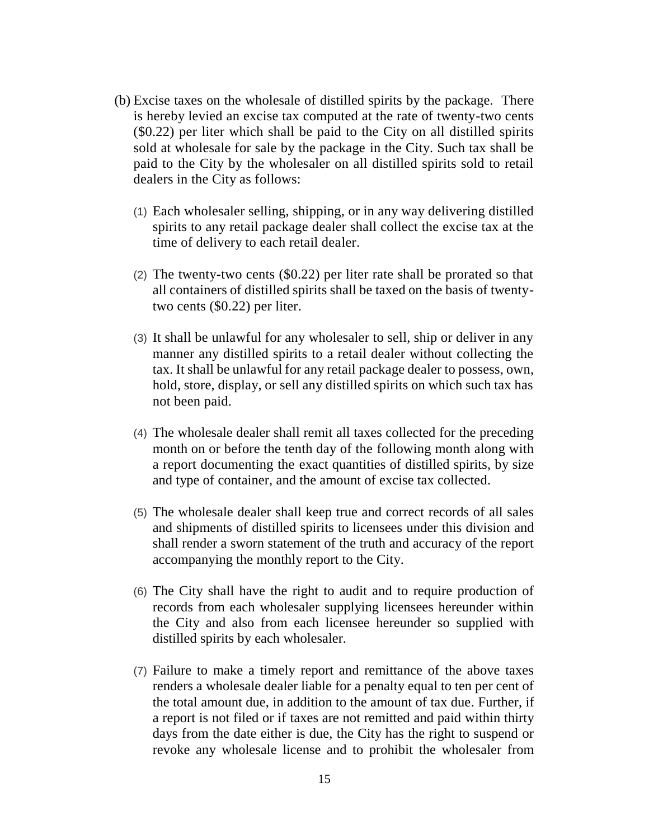- (b) Excise taxes on the wholesale of distilled spirits by the package. There is hereby levied an excise tax computed at the rate of twenty-two cents (\$0.22) per liter which shall be paid to the City on all distilled spirits sold at wholesale for sale by the package in the City. Such tax shall be paid to the City by the wholesaler on all distilled spirits sold to retail dealers in the City as follows:
	- (1) Each wholesaler selling, shipping, or in any way delivering distilled spirits to any retail package dealer shall collect the excise tax at the time of delivery to each retail dealer.
	- (2) The twenty-two cents (\$0.22) per liter rate shall be prorated so that all containers of distilled spirits shall be taxed on the basis of twentytwo cents (\$0.22) per liter.
	- (3) It shall be unlawful for any wholesaler to sell, ship or deliver in any manner any distilled spirits to a retail dealer without collecting the tax. It shall be unlawful for any retail package dealer to possess, own, hold, store, display, or sell any distilled spirits on which such tax has not been paid.
	- (4) The wholesale dealer shall remit all taxes collected for the preceding month on or before the tenth day of the following month along with a report documenting the exact quantities of distilled spirits, by size and type of container, and the amount of excise tax collected.
	- (5) The wholesale dealer shall keep true and correct records of all sales and shipments of distilled spirits to licensees under this division and shall render a sworn statement of the truth and accuracy of the report accompanying the monthly report to the City.
	- (6) The City shall have the right to audit and to require production of records from each wholesaler supplying licensees hereunder within the City and also from each licensee hereunder so supplied with distilled spirits by each wholesaler.
	- (7) Failure to make a timely report and remittance of the above taxes renders a wholesale dealer liable for a penalty equal to ten per cent of the total amount due, in addition to the amount of tax due. Further, if a report is not filed or if taxes are not remitted and paid within thirty days from the date either is due, the City has the right to suspend or revoke any wholesale license and to prohibit the wholesaler from